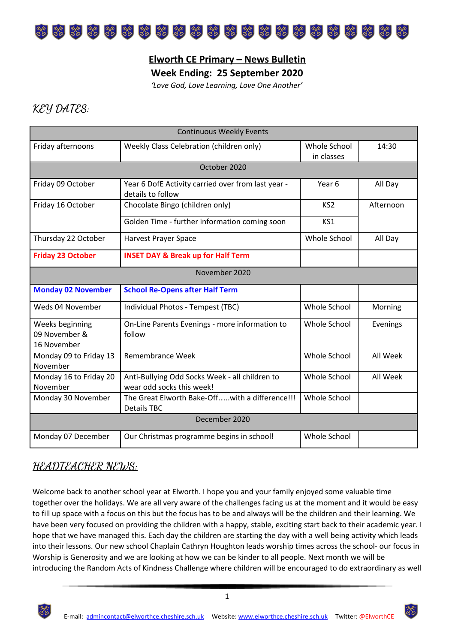

### **Elworth CE Primary – News Bulletin**

**Week Ending: 25 September 2020**

*'Love God, Love Learning, Love One Another'*

## **KEY DATES:**

| <b>Continuous Weekly Events</b>                 |                                                                             |                            |           |
|-------------------------------------------------|-----------------------------------------------------------------------------|----------------------------|-----------|
| Friday afternoons                               | Weekly Class Celebration (children only)                                    | Whole School<br>in classes | 14:30     |
| October 2020                                    |                                                                             |                            |           |
| Friday 09 October                               | Year 6 DofE Activity carried over from last year -<br>details to follow     | Year 6                     | All Day   |
| Friday 16 October                               | Chocolate Bingo (children only)                                             | KS <sub>2</sub>            | Afternoon |
|                                                 | Golden Time - further information coming soon                               | KS1                        |           |
| Thursday 22 October                             | Harvest Prayer Space                                                        | Whole School               | All Day   |
| <b>Friday 23 October</b>                        | <b>INSET DAY &amp; Break up for Half Term</b>                               |                            |           |
| November 2020                                   |                                                                             |                            |           |
| <b>Monday 02 November</b>                       | <b>School Re-Opens after Half Term</b>                                      |                            |           |
| Weds 04 November                                | Individual Photos - Tempest (TBC)                                           | Whole School               | Morning   |
| Weeks beginning<br>09 November &<br>16 November | On-Line Parents Evenings - more information to<br>follow                    | Whole School               | Evenings  |
| Monday 09 to Friday 13<br>November              | <b>Remembrance Week</b>                                                     | Whole School               | All Week  |
| Monday 16 to Friday 20<br>November              | Anti-Bullying Odd Socks Week - all children to<br>wear odd socks this week! | Whole School               | All Week  |
| Monday 30 November                              | The Great Elworth Bake-Offwith a difference!!!<br><b>Details TBC</b>        | Whole School               |           |
| December 2020                                   |                                                                             |                            |           |
| Monday 07 December                              | Our Christmas programme begins in school!                                   | Whole School               |           |

## **HEADTEACHER NEWS:**

Welcome back to another school year at Elworth. I hope you and your family enjoyed some valuable time together over the holidays. We are all very aware of the challenges facing us at the moment and it would be easy to fill up space with a focus on this but the focus has to be and always will be the children and their learning. We have been very focused on providing the children with a happy, stable, exciting start back to their academic year. I hope that we have managed this. Each day the children are starting the day with a well being activity which leads into their lessons. Our new school Chaplain Cathryn Houghton leads worship times across the school- our focus in Worship is Generosity and we are looking at how we can be kinder to all people. Next month we will be introducing the Random Acts of Kindness Challenge where children will be encouraged to do extraordinary as well

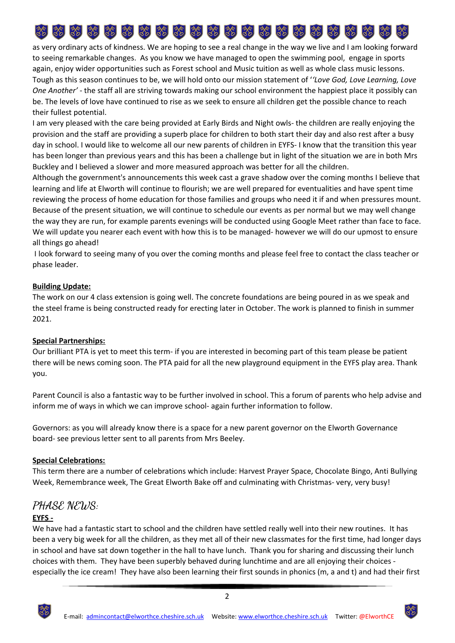# 

as very ordinary acts of kindness. We are hoping to see a real change in the way we live and I am looking forward to seeing remarkable changes. As you know we have managed to open the swimming pool, engage in sports again, enjoy wider opportunities such as Forest school and Music tuition as well as whole class music lessons. Tough as this season continues to be, we will hold onto our mission statement of '*'Love God, Love Learning, Love One Another'* - the staff all are striving towards making our school environment the happiest place it possibly can be. The levels of love have continued to rise as we seek to ensure all children get the possible chance to reach their fullest potential.

I am very pleased with the care being provided at Early Birds and Night owls- the children are really enjoying the provision and the staff are providing a superb place for children to both start their day and also rest after a busy day in school. I would like to welcome all our new parents of children in EYFS- I know that the transition this year has been longer than previous years and this has been a challenge but in light of the situation we are in both Mrs Buckley and I believed a slower and more measured approach was better for all the children.

Although the government's announcements this week cast a grave shadow over the coming months I believe that learning and life at Elworth will continue to flourish; we are well prepared for eventualities and have spent time reviewing the process of home education for those families and groups who need it if and when pressures mount. Because of the present situation, we will continue to schedule our events as per normal but we may well change the way they are run, for example parents evenings will be conducted using Google Meet rather than face to face. We will update you nearer each event with how this is to be managed- however we will do our upmost to ensure all things go ahead!

I look forward to seeing many of you over the coming months and please feel free to contact the class teacher or phase leader.

### **Building Update:**

The work on our 4 class extension is going well. The concrete foundations are being poured in as we speak and the steel frame is being constructed ready for erecting later in October. The work is planned to finish in summer 2021.

### **Special Partnerships:**

Our brilliant PTA is yet to meet this term- if you are interested in becoming part of this team please be patient there will be news coming soon. The PTA paid for all the new playground equipment in the EYFS play area. Thank you.

Parent Council is also a fantastic way to be further involved in school. This a forum of parents who help advise and inform me of ways in which we can improve school- again further information to follow.

Governors: as you will already know there is a space for a new parent governor on the Elworth Governance board- see previous letter sent to all parents from Mrs Beeley.

#### **Special Celebrations:**

This term there are a number of celebrations which include: Harvest Prayer Space, Chocolate Bingo, Anti Bullying Week, Remembrance week, The Great Elworth Bake off and culminating with Christmas- very, very busy!

# **PHASE NEWS:**

### **EYFS -**

We have had a fantastic start to school and the children have settled really well into their new routines. It has been a very big week for all the children, as they met all of their new classmates for the first time, had longer days in school and have sat down together in the hall to have lunch. Thank you for sharing and discussing their lunch choices with them. They have been superbly behaved during lunchtime and are all enjoying their choices especially the ice cream! They have also been learning their first sounds in phonics (m, a and t) and had their first